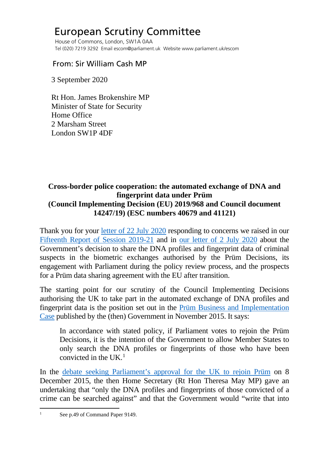## European Scrutiny Committee

 House of Commons, London, SW1A 0AA Tel (020) 7219 3292 Email escom@parliament.uk Website www.parliament.uk/escom

## From: Sir William Cash MP

3 September 2020

 Rt Hon. James Brokenshire MP Minister of State for Security Home Office 2 Marsham Street London SW1P 4DF

## **Cross-border police cooperation: the automated exchange of DNA and fingerprint data under Prüm (Council Implementing Decision (EU) 2019/968 and Council document 14247/19) (ESC numbers 40679 and 41121)**

Thank you for your [letter of 22 July 2020](http://europeanmemoranda.cabinetoffice.gov.uk/files/2020/07/Letter_to_Sir_William_Cash_MP_-_14247_19.pdf) responding to concerns we raised in our [Fifteenth Report of Session 2019-21](https://publications.parliament.uk/pa/cm5801/cmselect/cmeuleg/229-xi/22907.htm#_idTextAnchor023) and in [our letter of 2 July 2020](https://committees.parliament.uk/publications/1767/documents/17193/default/) about the Government's decision to share the DNA profiles and fingerprint data of criminal suspects in the biometric exchanges authorised by the Prüm Decisions, its engagement with Parliament during the policy review process, and the prospects for a Prüm data sharing agreement with the EU after transition.

The starting point for our scrutiny of the Council Implementing Decisions authorising the UK to take part in the automated exchange of DNA profiles and fingerprint data is the position set out in the [Prüm Business and Implementation](https://assets.publishing.service.gov.uk/government/uploads/system/uploads/attachment_data/file/480129/prum_business_and_implementation_case.pdf)  [Case](https://assets.publishing.service.gov.uk/government/uploads/system/uploads/attachment_data/file/480129/prum_business_and_implementation_case.pdf) published by the (then) Government in November 2015. It says:

In accordance with stated policy, if Parliament votes to rejoin the Prüm Decisions, it is the intention of the Government to allow Member States to only search the DNA profiles or fingerprints of those who have been convicted in the  $UK<sup>1</sup>$  $UK<sup>1</sup>$  $UK<sup>1</sup>$ 

In the [debate seeking Parliament's approval for the UK to rejoin Prüm](https://publications.parliament.uk/pa/cm201516/cmhansrd/cm151208/debtext/151208-0002.htm#151208-0002.htm_spnew87) on 8 December 2015, the then Home Secretary (Rt Hon Theresa May MP) gave an undertaking that "only the DNA profiles and fingerprints of those convicted of a crime can be searched against" and that the Government would "write that into

<span id="page-0-0"></span><sup>&</sup>lt;sup>1</sup> See p.49 of Command Paper 9149.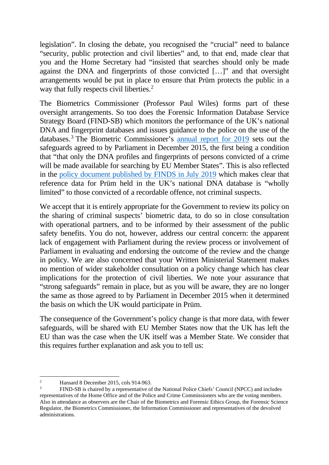legislation". In closing the debate, you recognised the "crucial" need to balance "security, public protection and civil liberties" and, to that end, made clear that you and the Home Secretary had "insisted that searches should only be made against the DNA and fingerprints of those convicted […]" and that oversight arrangements would be put in place to ensure that Prüm protects the public in a way that fully respects civil liberties.<sup>[2](#page-1-0)</sup>

The Biometrics Commissioner (Professor Paul Wiles) forms part of these oversight arrangements. So too does the Forensic Information Database Service Strategy Board (FIND-SB) which monitors the performance of the UK's national DNA and fingerprint databases and issues guidance to the police on the use of the databases.[3](#page-1-1) The Biometric Commissioner's [annual report for 2019](https://assets.publishing.service.gov.uk/government/uploads/system/uploads/attachment_data/file/897090/Biometrics_Commissioner_Annual_Report_Web_Access.pdf) sets out the safeguards agreed to by Parliament in December 2015, the first being a condition that "that only the DNA profiles and fingerprints of persons convicted of a crime will be made available for searching by EU Member States". This is also reflected in the [policy document published by FINDS in July 2019](https://assets.publishing.service.gov.uk/government/uploads/system/uploads/attachment_data/file/814981/Forensic_Information_Database_Service__FINDS__-_International_DNA_and_Fingerprint_Exchange_Policy_for_the_United_Kingdom.pdf) which makes clear that reference data for Prüm held in the UK's national DNA database is "wholly limited" to those convicted of a recordable offence, not criminal suspects.

We accept that it is entirely appropriate for the Government to review its policy on the sharing of criminal suspects' biometric data, to do so in close consultation with operational partners, and to be informed by their assessment of the public safety benefits. You do not, however, address our central concern: the apparent lack of engagement with Parliament during the review process or involvement of Parliament in evaluating and endorsing the outcome of the review and the change in policy. We are also concerned that your Written Ministerial Statement makes no mention of wider stakeholder consultation on a policy change which has clear implications for the protection of civil liberties. We note your assurance that "strong safeguards" remain in place, but as you will be aware, they are no longer the same as those agreed to by Parliament in December 2015 when it determined the basis on which the UK would participate in Prüm.

The consequence of the Government's policy change is that more data, with fewer safeguards, will be shared with EU Member States now that the UK has left the EU than was the case when the UK itself was a Member State. We consider that this requires further explanation and ask you to tell us:

<span id="page-1-0"></span><sup>&</sup>lt;sup>2</sup> Hansard 8 December 2015, cols 914-963.<br> $\frac{3}{2}$  EIND SD is showed by a geography in other

<span id="page-1-1"></span><sup>3</sup> FIND-SB is chaired by a representative of the National Police Chiefs' Council (NPCC) and includes representatives of the Home Office and of the Police and Crime Commissioners who are the voting members. Also in attendance as observers are the Chair of the Biometrics and Forensic Ethics Group, the Forensic Science Regulator, the Biometrics Commissioner, the Information Commissioner and representatives of the devolved administrations.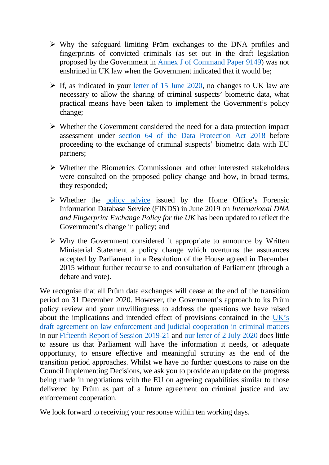- Why the safeguard limiting Prüm exchanges to the DNA profiles and fingerprints of convicted criminals (as set out in the draft legislation proposed by the Government in [Annex J of Command Paper 9149\)](https://assets.publishing.service.gov.uk/government/uploads/system/uploads/attachment_data/file/463469/ANNEX_J_Prum_draft_legislation__final_version_for_BIC__v3__2_.pdf) was not enshrined in UK law when the Government indicated that it would be;
- $\triangleright$  If, as indicated in your <u>letter of 15 June 2020</u>, no changes to UK law are necessary to allow the sharing of criminal suspects' biometric data, what practical means have been taken to implement the Government's policy change;
- $\triangleright$  Whether the Government considered the need for a data protection impact assessment under [section 64 of the Data Protection Act 2018](https://www.legislation.gov.uk/ukpga/2018/12/section/64/enacted) before proceeding to the exchange of criminal suspects' biometric data with EU partners;
- $\triangleright$  Whether the Biometrics Commissioner and other interested stakeholders were consulted on the proposed policy change and how, in broad terms, they responded;
- $\triangleright$  Whether the [policy advice](https://assets.publishing.service.gov.uk/government/uploads/system/uploads/attachment_data/file/814981/Forensic_Information_Database_Service__FINDS__-_International_DNA_and_Fingerprint_Exchange_Policy_for_the_United_Kingdom.pdf) issued by the Home Office's Forensic Information Database Service (FINDS) in June 2019 on *International DNA and Fingerprint Exchange Policy for the UK* has been updated to reflect the Government's change in policy; and
- $\triangleright$  Why the Government considered it appropriate to announce by Written Ministerial Statement a policy change which overturns the assurances accepted by Parliament in a Resolution of the House agreed in December 2015 without further recourse to and consultation of Parliament (through a debate and vote).

We recognise that all Prüm data exchanges will cease at the end of the transition period on 31 December 2020. However, the Government's approach to its Prüm policy review and your unwillingness to address the questions we have raised about the implications and intended effect of provisions contained in the [UK's](https://assets.publishing.service.gov.uk/government/uploads/system/uploads/attachment_data/file/886019/DRAFT_Agreement_on_Law_Enforcement_and_Judicial_Cooperation_in_Criminal_Matters.pdf)  [draft agreement on law enforcement and judicial cooperation in criminal matters](https://assets.publishing.service.gov.uk/government/uploads/system/uploads/attachment_data/file/886019/DRAFT_Agreement_on_Law_Enforcement_and_Judicial_Cooperation_in_Criminal_Matters.pdf) in our [Fifteenth Report of Session 2019-21](https://publications.parliament.uk/pa/cm5801/cmselect/cmeuleg/229-xi/22907.htm#_idTextAnchor023) and [our letter of 2 July 2020](https://committees.parliament.uk/publications/1767/documents/17193/default/) does little to assure us that Parliament will have the information it needs, or adequate opportunity, to ensure effective and meaningful scrutiny as the end of the transition period approaches. Whilst we have no further questions to raise on the Council Implementing Decisions, we ask you to provide an update on the progress being made in negotiations with the EU on agreeing capabilities similar to those delivered by Prüm as part of a future agreement on criminal justice and law enforcement cooperation.

We look forward to receiving your response within ten working days.